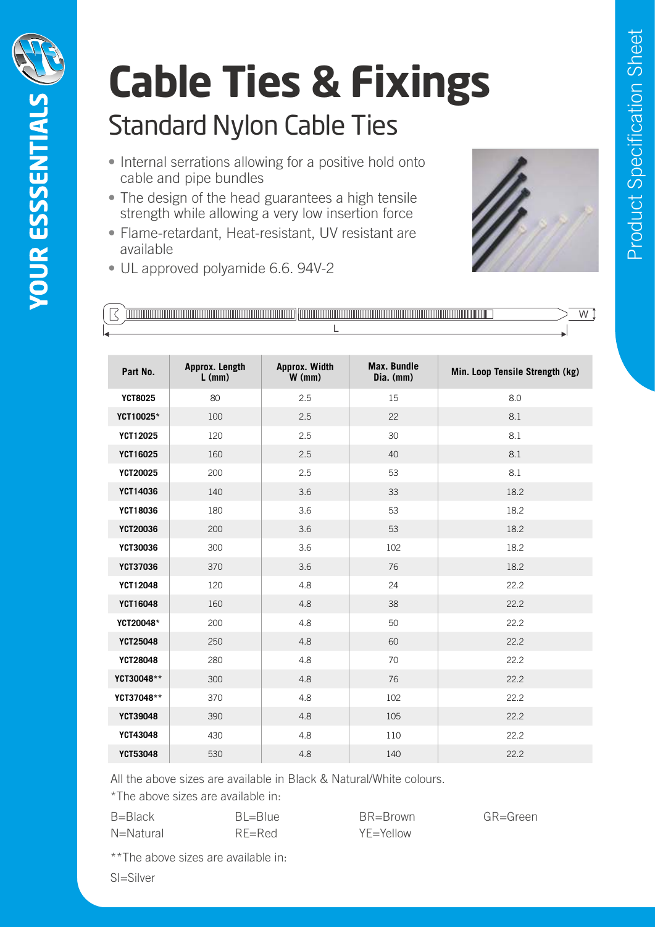

## Standard Nylon Cable Ties **Cable Ties & Fixings** Standard Nylon

- Internal serrations allowing for a positive hold onto cable and pipe bundles Features:  $\frac{1}{2}$  $\mathcal{L}$  the design of the head guarantees a high tensile strength while allowing  $\mathcal{L}$
- The design of the head guarantees a high tensile strength while allowing a very low insertion force
- Flame-retardant, Heat-resistant, UV resistant are available
- UL approved polyamide 6.6. 94V-2 UL approved polyamide 6.6, 94V-2



|  | TIM. | <u> III ili ili</u> |  |
|--|------|---------------------|--|
|  |      |                     |  |

| Part No.        | Approx. Length<br>$L$ (mm) | Approx. Width<br>$W$ (mm) | Max. Bundle<br>Dia. (mm) | Min. Loop Tensile Strength (kg) |
|-----------------|----------------------------|---------------------------|--------------------------|---------------------------------|
| <b>YCT8025</b>  | 80                         | 2.5                       | 15                       | $8.0\,$                         |
| YCT10025*       | 100                        | 2.5                       | 22                       | 8.1                             |
| YCT12025        | 120                        | 2.5                       | $30\,$                   | 8.1                             |
| YCT16025        | 160                        | 2.5                       | 40                       | 8.1                             |
| YCT20025        | 200                        | 2.5                       | 53                       | 8.1                             |
| YCT14036        | 140                        | 3.6                       | 33                       | 18.2                            |
| YCT18036        | 180                        | 3.6                       | 53                       | 18.2                            |
| YCT20036        | 200                        | 3.6                       | 53                       | 18.2                            |
| <b>YCT30036</b> | 300                        | 3.6                       | 102                      | 18.2                            |
| <b>YCT37036</b> | 370                        | 3.6                       | 76                       | 18.2                            |
| YCT12048        | 120                        | 4.8                       | 24                       | 22.2                            |
| YCT16048        | 160                        | 4.8                       | 38                       | 22.2                            |
| YCT20048*       | 200                        | 4.8                       | 50                       | 22.2                            |
| YCT25048        | 250                        | 4.8                       | 60                       | 22.2                            |
| YCT28048        | 280                        | 4.8                       | 70                       | 22.2                            |
| YCT30048**      | 300                        | 4.8                       | 76                       | 22.2                            |
| YCT37048**      | 370                        | 4.8                       | 102                      | 22.2                            |
| <b>YCT39048</b> | 390                        | 4.8                       | 105                      | 22.2                            |
| YCT43048        | 430                        | 4.8                       | 110                      | 22.2                            |
| <b>YCT53048</b> | 530                        | 4.8                       | 140                      | 22.2                            |

All the above sizes are available in Black & Natural/White colours. CT32 530 4.8 140 4.8 140 4.8 140 4.8 140 4.8 140 4.8 140 4.8 140 4.8 140 4.8 140 4.8 140 4.8 140 4.8 140 4.8 1

\*The above sizes are available in:

| B=Black   | $BI = Blue$ | BR=Brown       | GR=Green |
|-----------|-------------|----------------|----------|
| N=Natural | $RF = Red$  | $YF = YeI$ low |          |

\*\*The above sizes are available in:

Contact us on - sales@krimpterm.co.uk

 $U = UUVU$ SI=Silver